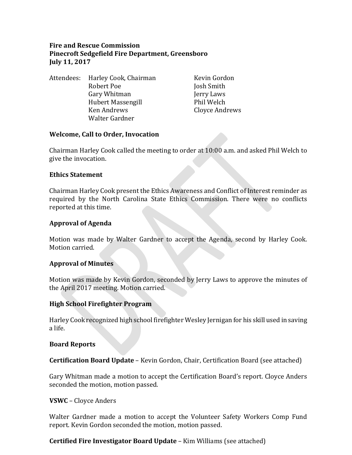# **Fire and Rescue Commission Pinecroft Sedgefield Fire Department, Greensboro July 11, 2017**

Attendees: Harley Cook, Chairman Kevin Gordon<br>Robert Poe Mosh Smith Gary Whitman Jerry Laws Hubert Massengill<br>Ken Andrews Walter Gardner

Josh Smith<br>Jerry Laws Cloyce Andrews

### **Welcome, Call to Order, Invocation**

Chairman Harley Cook called the meeting to order at 10:00 a.m. and asked Phil Welch to give the invocation.

#### **Ethics Statement**

Chairman Harley Cook present the Ethics Awareness and Conflict of Interest reminder as required by the North Carolina State Ethics Commission. There were no conflicts reported at this time.

### **Approval of Agenda**

Motion was made by Walter Gardner to accept the Agenda, second by Harley Cook. Motion carried.

# **Approval of Minutes**

Motion was made by Kevin Gordon, seconded by Jerry Laws to approve the minutes of the April 2017 meeting. Motion carried.

#### **High School Firefighter Program**

Harley Cook recognized high school firefighter Wesley Jernigan for his skill used in saving a life.

#### **Board Reports**

**Certification Board Update** – Kevin Gordon, Chair, Certification Board (see attached)

Gary Whitman made a motion to accept the Certification Board's report. Cloyce Anders seconded the motion, motion passed.

#### **VSWC** – Cloyce Anders

Walter Gardner made a motion to accept the Volunteer Safety Workers Comp Fund report. Kevin Gordon seconded the motion, motion passed.

# **Certified Fire Investigator Board Update** – Kim Williams (see attached)